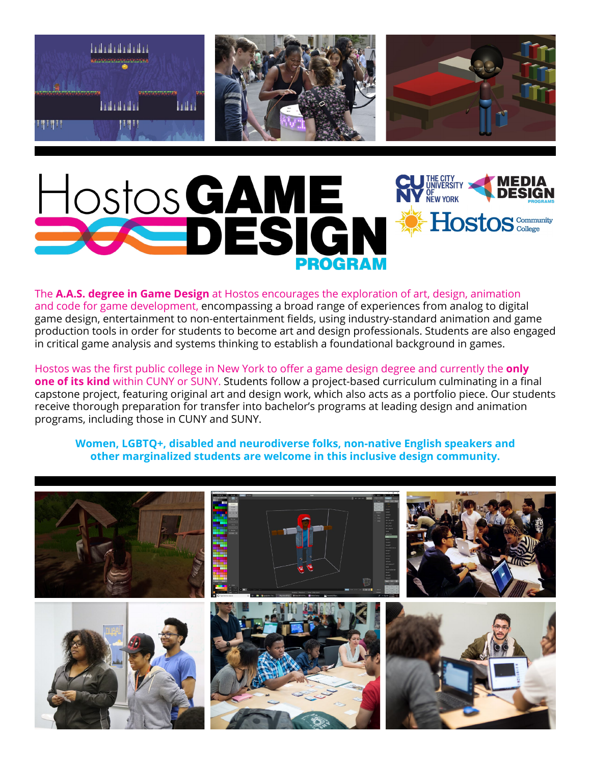



The **A.A.S. degree in Game Design** at Hostos encourages the exploration of art, design, animation and code for game development, encompassing a broad range of experiences from analog to digital game design, entertainment to non-entertainment fields, using industry-standard animation and game production tools in order for students to become art and design professionals. Students are also engaged in critical game analysis and systems thinking to establish a foundational background in games.

Hostos was the first public college in New York to offer a game design degree and currently the **only one of its kind** within CUNY or SUNY. Students follow a project-based curriculum culminating in a final capstone project, featuring original art and design work, which also acts as a portfolio piece. Our students receive thorough preparation for transfer into bachelor's programs at leading design and animation programs, including those in CUNY and SUNY.

**Women, LGBTQ+, disabled and neurodiverse folks, non-native English speakers and other marginalized students are welcome in this inclusive design community.**